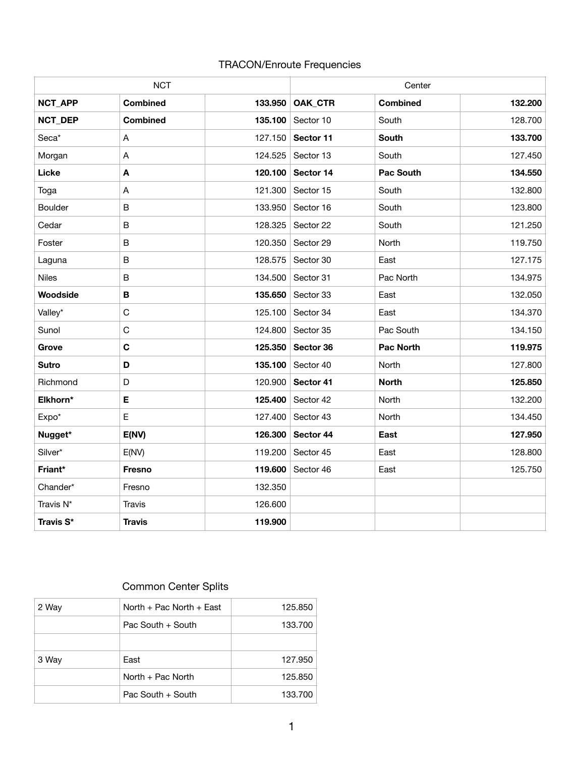## TRACON/Enroute Frequencies

| <b>NCT</b>     |                 |         | Center    |                  |         |
|----------------|-----------------|---------|-----------|------------------|---------|
| NCT_APP        | <b>Combined</b> | 133.950 | OAK_CTR   | <b>Combined</b>  | 132.200 |
| NCT_DEP        | <b>Combined</b> | 135.100 | Sector 10 | South            | 128.700 |
| Seca*          | A               | 127.150 | Sector 11 | <b>South</b>     | 133.700 |
| Morgan         | A               | 124.525 | Sector 13 | South            | 127.450 |
| Licke          | A               | 120.100 | Sector 14 | <b>Pac South</b> | 134.550 |
| Toga           | A               | 121.300 | Sector 15 | South            | 132.800 |
| <b>Boulder</b> | B               | 133.950 | Sector 16 | South            | 123.800 |
| Cedar          | B               | 128.325 | Sector 22 | South            | 121.250 |
| Foster         | B               | 120.350 | Sector 29 | North            | 119.750 |
| Laguna         | B               | 128.575 | Sector 30 | East             | 127.175 |
| <b>Niles</b>   | B               | 134.500 | Sector 31 | Pac North        | 134.975 |
| Woodside       | B               | 135.650 | Sector 33 | East             | 132.050 |
| Valley*        | C               | 125.100 | Sector 34 | East             | 134.370 |
| Sunol          | $\mathsf C$     | 124.800 | Sector 35 | Pac South        | 134.150 |
| Grove          | $\mathbf c$     | 125.350 | Sector 36 | <b>Pac North</b> | 119.975 |
| <b>Sutro</b>   | D               | 135.100 | Sector 40 | North            | 127.800 |
| Richmond       | D               | 120.900 | Sector 41 | <b>North</b>     | 125.850 |
| Elkhorn*       | E               | 125.400 | Sector 42 | North            | 132.200 |
| Expo*          | E               | 127.400 | Sector 43 | North            | 134.450 |
| Nugget*        | E(NV)           | 126.300 | Sector 44 | East             | 127.950 |
| Silver*        | E(NV)           | 119.200 | Sector 45 | East             | 128.800 |
| Friant*        | <b>Fresno</b>   | 119.600 | Sector 46 | East             | 125.750 |
| Chander*       | Fresno          | 132.350 |           |                  |         |
| Travis N*      | Travis          | 126.600 |           |                  |         |
| Travis S*      | <b>Travis</b>   | 119.900 |           |                  |         |

## Common Center Splits

| 2 Way | North + Pac North + East | 125.850 |
|-------|--------------------------|---------|
|       | Pac South + South        | 133,700 |
|       |                          |         |
| 3 Way | East                     | 127.950 |
|       | North + Pac North        | 125,850 |
|       | Pac South + South        | 133.700 |